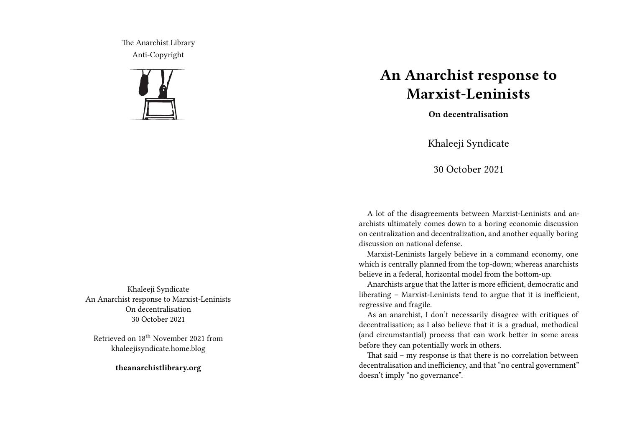The Anarchist Library Anti-Copyright



Khaleeji Syndicate An Anarchist response to Marxist-Leninists On decentralisation 30 October 2021

Retrieved on 18th November 2021 from khaleejisyndicate.home.blog

**theanarchistlibrary.org**

## **An Anarchist response to Marxist-Leninists**

**On decentralisation**

Khaleeji Syndicate

30 October 2021

A lot of the disagreements between Marxist-Leninists and anarchists ultimately comes down to a boring economic discussion on centralization and decentralization, and another equally boring discussion on national defense.

Marxist-Leninists largely believe in a command economy, one which is centrally planned from the top-down; whereas anarchists believe in a federal, horizontal model from the bottom-up.

Anarchists argue that the latter is more efficient, democratic and liberating – Marxist-Leninists tend to argue that it is inefficient, regressive and fragile.

As an anarchist, I don't necessarily disagree with critiques of decentralisation; as I also believe that it is a gradual, methodical (and circumstantial) process that can work better in some areas before they can potentially work in others.

That said – my response is that there is no correlation between decentralisation and inefficiency, and that "no central government" doesn't imply "no governance".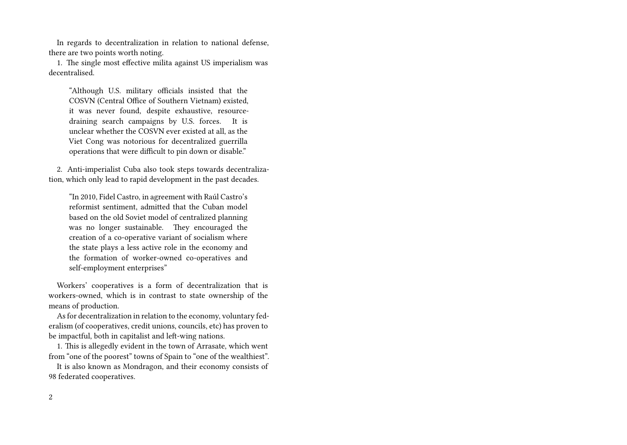In regards to decentralization in relation to national defense, there are two points worth noting.

1. The single most effective milita against US imperialism was decentralised.

"Although U.S. military officials insisted that the COSVN (Central Office of Southern Vietnam) existed, it was never found, despite exhaustive, resourcedraining search campaigns by U.S. forces. It is unclear whether the COSVN ever existed at all, as the Viet Cong was notorious for decentralized guerrilla operations that were difficult to pin down or disable."

2. Anti-imperialist Cuba also took steps towards decentralization, which only lead to rapid development in the past decades.

"In 2010, Fidel Castro, in agreement with Raúl Castro's reformist sentiment, admitted that the Cuban model based on the old Soviet model of centralized planning was no longer sustainable. They encouraged the creation of a co-operative variant of socialism where the state plays a less active role in the economy and the formation of worker-owned co-operatives and self-employment enterprises"

Workers' cooperatives is a form of decentralization that is workers-owned, which is in contrast to state ownership of the means of production.

As for decentralization in relation to the economy, voluntary federalism (of cooperatives, credit unions, councils, etc) has proven to be impactful, both in capitalist and left-wing nations.

1. This is allegedly evident in the town of Arrasate, which went from "one of the poorest" towns of Spain to "one of the wealthiest".

It is also known as Mondragon, and their economy consists of 98 federated cooperatives.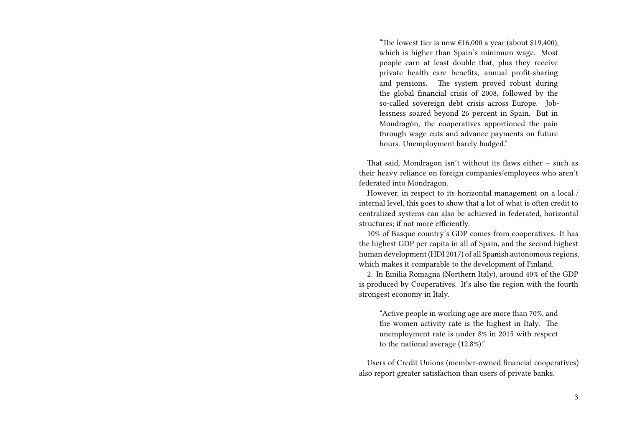"The lowest tier is now  $£16,000$  a year (about \$19,400), which is higher than Spain's minimum wage. Most people earn at least double that, plus they receive private health care benefits, annual profit-sharing and pensions. The system proved robust during the global financial crisis of 2008, followed by the so-called sovereign debt crisis across Europe. Joblessness soared beyond 26 percent in Spain. But in Mondragón, the cooperatives apportioned the pain through wage cuts and advance payments on future hours. Unemployment barely budged."

That said, Mondragon isn't without its flaws either – such as their heavy reliance on foreign companies/employees who aren't federated into Mondragon.

However, in respect to its horizontal management on a local / internal level, this goes to show that a lot of what is often credit to centralized systems can also be achieved in federated, horizontal structures; if not more efficiently.

10% of Basque country's GDP comes from cooperatives. It has the highest GDP per capita in all of Spain, and the second highest human development (HDI 2017) of all Spanish autonomous regions, which makes it comparable to the development of Finland.

2. In Emilia Romagna (Northern Italy), around 40% of the GDP is produced by Cooperatives. It's also the region with the fourth strongest economy in Italy.

"Active people in working age are more than 70%, and the women activity rate is the highest in Italy. The unemployment rate is under 8% in 2015 with respect to the national average (12.8%)."

Users of Credit Unions (member-owned financial cooperatives) also report greater satisfaction than users of private banks.